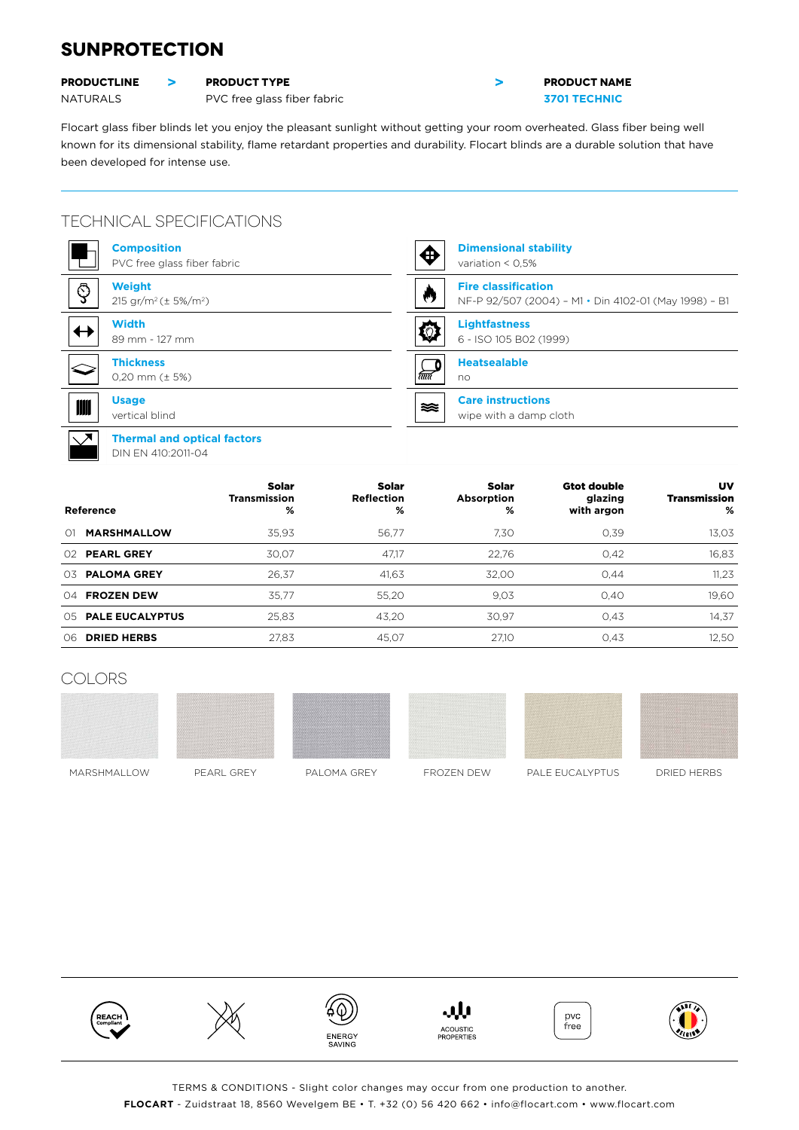## **SUNPROTECTION**

#### **PRODUCTLINE > PRODUCT TYPE PRODUCT AND PRODUCT NAME**



# NATURALS PVC free glass fiber fabric **3701 TECHNIC**

Flocart glass fiber blinds let you enjoy the pleasant sunlight without getting your room overheated. Glass fiber being well known for its dimensional stability, flame retardant properties and durability. Flocart blinds are a durable solution that have been developed for intense use.

### TECHNICAL SPECIFICATIONS

| <b>Composition</b><br>PVC free glass fiber fabric                      | <b>Dimensional stability</b><br>⊕<br>variation $< 0.5\%$ |
|------------------------------------------------------------------------|----------------------------------------------------------|
| $\mathbb{Q}$                                                           | <b>Fire classification</b>                               |
| <b>Weight</b>                                                          | W                                                        |
| 215 gr/m <sup>2</sup> ( $\pm$ 5%/m <sup>2</sup> )                      | NF-P 92/507 (2004) - M1 · Din 4102-01 (May 1998) - B1    |
| <b>Width</b>                                                           | <b>Lightfastness</b>                                     |
| $\leftrightarrow$                                                      | 检                                                        |
| 89 mm - 127 mm                                                         | 6 - ISO 105 B02 (1999)                                   |
| <b>Thickness</b><br>$0,20$ mm ( $\pm$ 5%)                              | <b>Heatsealable</b><br>रत्तर<br>no                       |
| <b>Usage</b>                                                           | <b>Care instructions</b>                                 |
|                                                                        | ≋≋                                                       |
| vertical blind                                                         | wipe with a damp cloth                                   |
| $\sqrt{ }$<br><b>Thermal and optical factors</b><br>DIN EN 410:2011-04 |                                                          |

| Reference                 | Solar<br><b>Transmission</b><br>% | Solar<br><b>Reflection</b><br>% | Solar<br>Absorption<br>% | <b>Gtot double</b><br>glazing<br>with argon | UV<br>Transmission<br>% |
|---------------------------|-----------------------------------|---------------------------------|--------------------------|---------------------------------------------|-------------------------|
| <b>MARSHMALLOW</b><br>01  | 35.93                             | 56.77                           | 7.30                     | 0.39                                        | 13,03                   |
| <b>PEARL GREY</b><br>O2   | 30.07                             | 47.17                           | 22.76                    | 0.42                                        | 16,83                   |
| <b>PALOMA GREY</b><br>03. | 26.37                             | 41.63                           | 32.00                    | 0.44                                        | 11,23                   |
| <b>FROZEN DEW</b><br>04   | 35.77                             | 55,20                           | 9,03                     | 0.40                                        | 19,60                   |
| 05 PALE EUCALYPTUS        | 25.83                             | 43.20                           | 30.97                    | 0.43                                        | 14,37                   |
| <b>DRIED HERBS</b><br>06. | 27.83                             | 45.07                           | 27.10                    | 0,43                                        | 12,50                   |

### COLORS